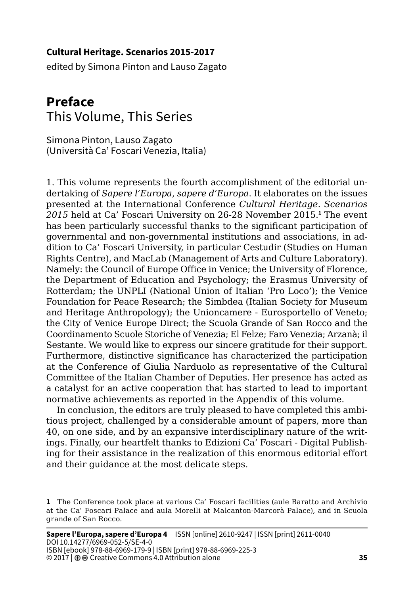## **Cultural Heritage. Scenarios 2015-2017**

edited by Simona Pinton and Lauso Zagato

## **Preface** This Volume, This Series

Simona Pinton, Lauso Zagato (Università Ca' Foscari Venezia, Italia)

1. This volume represents the fourth accomplishment of the editorial undertaking of *Sapere l'Europa, sapere d'Europa*. It elaborates on the issues presented at the International Conference *Cultural Heritage. Scenarios 2015* held at Ca' Foscari University on 26-28 November 2015.**<sup>1</sup>** The event has been particularly successful thanks to the significant participation of governmental and non-governmental institutions and associations, in addition to Ca' Foscari University, in particular Cestudir (Studies on Human Rights Centre), and MacLab (Management of Arts and Culture Laboratory). Namely: the Council of Europe Office in Venice; the University of Florence, the Department of Education and Psychology; the Erasmus University of Rotterdam; the UNPLI (National Union of Italian 'Pro Loco'); the Venice Foundation for Peace Research; the Simbdea (Italian Society for Museum and Heritage Anthropology); the Unioncamere - Eurosportello of Veneto; the City of Venice Europe Direct; the Scuola Grande of San Rocco and the Coordinamento Scuole Storiche of Venezia; El Felze; Faro Venezia; Arzanà; il Sestante. We would like to express our sincere gratitude for their support. Furthermore, distinctive significance has characterized the participation at the Conference of Giulia Narduolo as representative of the Cultural Committee of the Italian Chamber of Deputies. Her presence has acted as a catalyst for an active cooperation that has started to lead to important normative achievements as reported in the Appendix of this volume.

In conclusion, the editors are truly pleased to have completed this ambitious project, challenged by a considerable amount of papers, more than 40, on one side, and by an expansive interdisciplinary nature of the writings. Finally, our heartfelt thanks to Edizioni Ca' Foscari - Digital Publishing for their assistance in the realization of this enormous editorial effort and their guidance at the most delicate steps.

**<sup>1</sup>** The Conference took place at various Ca' Foscari facilities (aule Baratto and Archivio at the Ca' Foscari Palace and aula Morelli at Malcanton-Marcorà Palace), and in Scuola grande of San Rocco.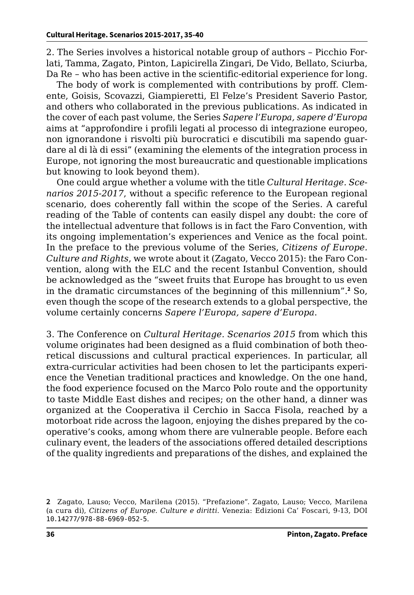2. The Series involves a historical notable group of authors – Picchio Forlati, Tamma, Zagato, Pinton, Lapicirella Zingari, De Vido, Bellato, Sciurba, Da Re – who has been active in the scientific-editorial experience for long.

The body of work is complemented with contributions by proff. Clemente, Goisis, Scovazzi, Giampieretti, El Felze's President Saverio Pastor, and others who collaborated in the previous publications. As indicated in the cover of each past volume, the Series *Sapere l'Europa, sapere d'Europa*  aims at "approfondire i profili legati al processo di integrazione europeo, non ignorandone i risvolti più burocratici e discutibili ma sapendo guardare al di là di essi" (examining the elements of the integration process in Europe, not ignoring the most bureaucratic and questionable implications but knowing to look beyond them).

One could argue whether a volume with the title *Cultural Heritage. Scenarios 2015-2017*, without a specific reference to the European regional scenario, does coherently fall within the scope of the Series. A careful reading of the Table of contents can easily dispel any doubt: the core of the intellectual adventure that follows is in fact the Faro Convention, with its ongoing implementation's experiences and Venice as the focal point. In the preface to the previous volume of the Series, *Citizens of Europe. Culture and Rights*, we wrote about it (Zagato, Vecco 2015): the Faro Convention, along with the ELC and the recent Istanbul Convention, should be acknowledged as the "sweet fruits that Europe has brought to us even in the dramatic circumstances of the beginning of this millennium".**<sup>2</sup>** So, even though the scope of the research extends to a global perspective, the volume certainly concerns *Sapere l'Europa, sapere d'Europa*.

3. The Conference on *Cultural Heritage. Scenarios 2015* from which this volume originates had been designed as a fluid combination of both theoretical discussions and cultural practical experiences. In particular, all extra-curricular activities had been chosen to let the participants experience the Venetian traditional practices and knowledge. On the one hand, the food experience focused on the Marco Polo route and the opportunity to taste Middle East dishes and recipes; on the other hand, a dinner was organized at the Cooperativa il Cerchio in Sacca Fisola, reached by a motorboat ride across the lagoon, enjoying the dishes prepared by the cooperative's cooks, among whom there are vulnerable people. Before each culinary event, the leaders of the associations offered detailed descriptions of the quality ingredients and preparations of the dishes, and explained the

**<sup>2</sup>** Zagato, Lauso; Vecco, Marilena (2015). "Prefazione". Zagato, Lauso; Vecco, Marilena (a cura di), *Citizens of Europe. Culture e diritti*. Venezia: Edizioni Ca' Foscari, 9-13, DOI [10.14277/978-88-6969-052-5](http://doi.org/10.14277/978-88-6969-052-5).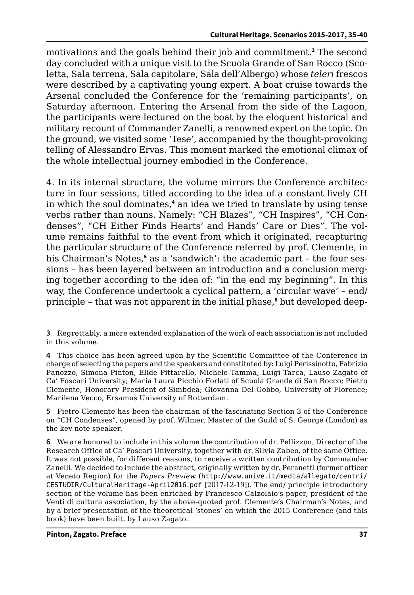motivations and the goals behind their job and commitment.**<sup>3</sup>** The second day concluded with a unique visit to the Scuola Grande of San Rocco (Scoletta, Sala terrena, Sala capitolare, Sala dell'Albergo) whose *teleri* frescos were described by a captivating young expert. A boat cruise towards the Arsenal concluded the Conference for the 'remaining participants', on Saturday afternoon. Entering the Arsenal from the side of the Lagoon, the participants were lectured on the boat by the eloquent historical and military recount of Commander Zanelli, a renowned expert on the topic. On the ground, we visited some 'Tese', accompanied by the thought-provoking telling of Alessandro Ervas. This moment marked the emotional climax of the whole intellectual journey embodied in the Conference.

4. In its internal structure, the volume mirrors the Conference architecture in four sessions, titled according to the idea of a constant lively CH in which the soul dominates,**<sup>4</sup>** an idea we tried to translate by using tense verbs rather than nouns. Namely: "CH Blazes", "CH Inspires", "CH Condenses", "CH Either Finds Hearts' and Hands' Care or Dies". The volume remains faithful to the event from which it originated, recapturing the particular structure of the Conference referred by prof. Clemente, in his Chairman's Notes,**<sup>5</sup>** as a 'sandwich': the academic part – the four sessions – has been layered between an introduction and a conclusion merging together according to the idea of: "in the end my beginning". In this way, the Conference undertook a cyclical pattern, a 'circular wave' – end/ principle – that was not apparent in the initial phase,**<sup>6</sup>** but developed deep-

**3** Regrettably, a more extended explanation of the work of each association is not included in this volume.

**4** This choice has been agreed upon by the Scientific Committee of the Conference in charge of selecting the papers and the speakers and constituted by: Luigi Perissinotto, Fabrizio Panozzo, Simona Pinton, Elide Pittarello, Michele Tamma, Luigi Tarca, Lauso Zagato of Ca' Foscari University; Maria Laura Picchio Forlati of Scuola Grande di San Rocco; Pietro Clemente, Honorary President of Simbdea; Giovanna Del Gobbo, University of Florence; Marilena Vecco, Ersamus University of Rotterdam.

**5** Pietro Clemente has been the chairman of the fascinating Section 3 of the Conference on "CH Condenses", opened by prof. Wilmer, Master of the Guild of S. George (London) as the key note speaker.

**6** We are honored to include in this volume the contribution of dr. Pellizzon, Director of the Research Office at Ca' Foscari University, together with dr. Silvia Zabeo, of the same Office. It was not possible, for different reasons, to receive a written contribution by Commander Zanelli. We decided to include the abstract, originally written by dr. Peranetti (former officer at Veneto Region) for the *Papers Preview* ([http://www.unive.it/media/allegato/centri/](http://www.unive.it/media/allegato/centri/CESTUDIR/CulturalHeritage-April2016.pdf) [CESTUDIR/CulturalHeritage-April2016.pdf](http://www.unive.it/media/allegato/centri/CESTUDIR/CulturalHeritage-April2016.pdf) [2017-12-19]). The end/ principle introductory section of the volume has been enriched by Francesco Calzolaio's paper, president of the Venti di cultura association, by the above-quoted prof. Clemente's Chairman's Notes, and by a brief presentation of the theoretical 'stones' on which the 2015 Conference (and this book) have been built, by Lauso Zagato.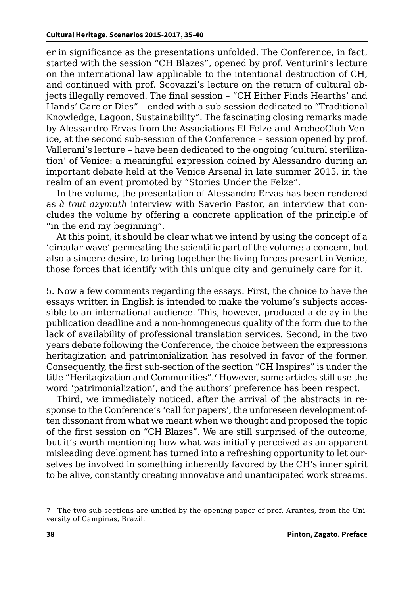er in significance as the presentations unfolded. The Conference, in fact, started with the session "CH Blazes", opened by prof. Venturini's lecture on the international law applicable to the intentional destruction of CH, and continued with prof. Scovazzi's lecture on the return of cultural objects illegally removed. The final session – "CH Either Finds Hearths' and Hands' Care or Dies" – ended with a sub-session dedicated to "Traditional Knowledge, Lagoon, Sustainability". The fascinating closing remarks made by Alessandro Ervas from the Associations El Felze and ArcheoClub Venice, at the second sub-session of the Conference – session opened by prof. Vallerani's lecture – have been dedicated to the ongoing 'cultural sterilization' of Venice: a meaningful expression coined by Alessandro during an important debate held at the Venice Arsenal in late summer 2015, in the realm of an event promoted by "Stories Under the Felze".

In the volume, the presentation of Alessandro Ervas has been rendered as *à tout azymuth* interview with Saverio Pastor, an interview that concludes the volume by offering a concrete application of the principle of "in the end my beginning".

At this point, it should be clear what we intend by using the concept of a 'circular wave' permeating the scientific part of the volume: a concern, but also a sincere desire, to bring together the living forces present in Venice, those forces that identify with this unique city and genuinely care for it.

5. Now a few comments regarding the essays. First, the choice to have the essays written in English is intended to make the volume's subjects accessible to an international audience. This, however, produced a delay in the publication deadline and a non-homogeneous quality of the form due to the lack of availability of professional translation services. Second, in the two years debate following the Conference, the choice between the expressions heritagization and patrimonialization has resolved in favor of the former. Consequently, the first sub-section of the section "CH Inspires" is under the title "Heritagization and Communities".**<sup>7</sup>** However, some articles still use the word 'patrimonialization', and the authors' preference has been respect.

Third, we immediately noticed, after the arrival of the abstracts in response to the Conference's 'call for papers', the unforeseen development often dissonant from what we meant when we thought and proposed the topic of the first session on "CH Blazes". We are still surprised of the outcome, but it's worth mentioning how what was initially perceived as an apparent misleading development has turned into a refreshing opportunity to let ourselves be involved in something inherently favored by the CH's inner spirit to be alive, constantly creating innovative and unanticipated work streams.

<sup>7</sup> The two sub-sections are unified by the opening paper of prof. Arantes, from the University of Campinas, Brazil.